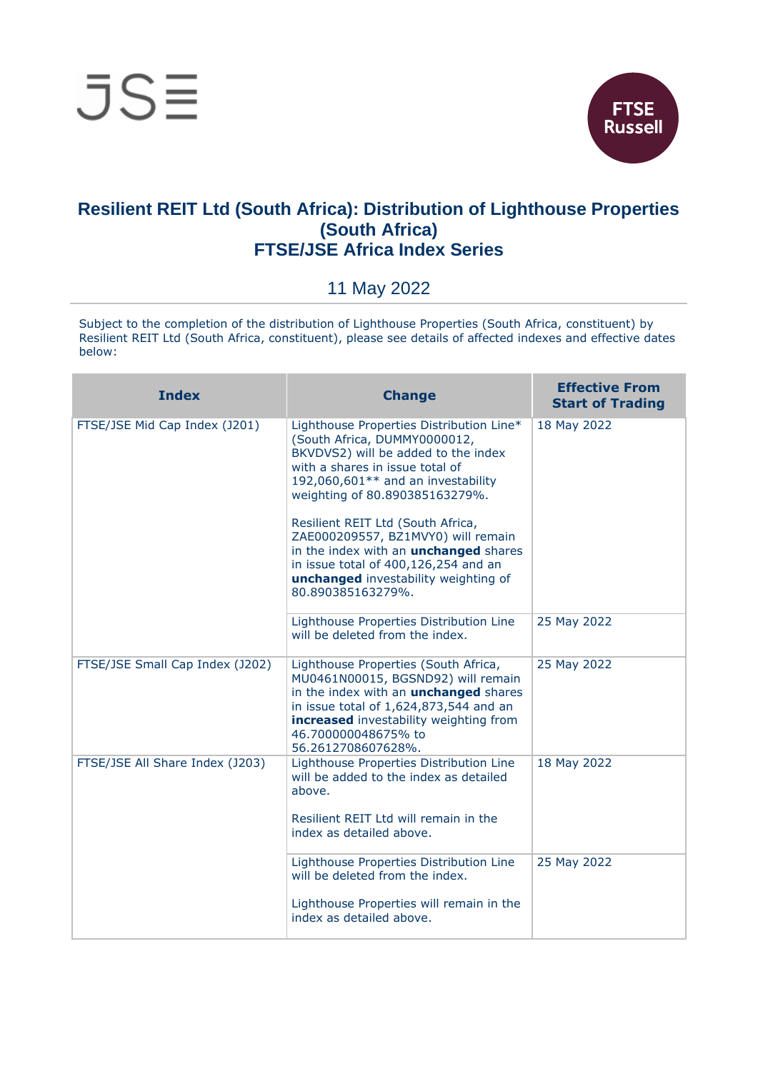

## **Resilient REIT Ltd (South Africa): Distribution of Lighthouse Properties (South Africa) FTSE/JSE Africa Index Series**

## 11 May 2022

Subject to the completion of the distribution of Lighthouse Properties (South Africa, constituent) by Resilient REIT Ltd (South Africa, constituent), please see details of affected indexes and effective dates below:

| <b>Index</b>                    | <b>Change</b>                                                                                                                                                                                                                                                                                                                                                                                                                                              | <b>Effective From</b><br><b>Start of Trading</b> |
|---------------------------------|------------------------------------------------------------------------------------------------------------------------------------------------------------------------------------------------------------------------------------------------------------------------------------------------------------------------------------------------------------------------------------------------------------------------------------------------------------|--------------------------------------------------|
| FTSE/JSE Mid Cap Index (J201)   | Lighthouse Properties Distribution Line*<br>(South Africa, DUMMY0000012,<br>BKVDVS2) will be added to the index<br>with a shares in issue total of<br>192,060,601** and an investability<br>weighting of 80.890385163279%.<br>Resilient REIT Ltd (South Africa,<br>ZAE000209557, BZ1MVY0) will remain<br>in the index with an <i>unchanged</i> shares<br>in issue total of 400,126,254 and an<br>unchanged investability weighting of<br>80.890385163279%. | 18 May 2022                                      |
|                                 | Lighthouse Properties Distribution Line<br>will be deleted from the index.                                                                                                                                                                                                                                                                                                                                                                                 | 25 May 2022                                      |
| FTSE/JSE Small Cap Index (J202) | Lighthouse Properties (South Africa,<br>MU0461N00015, BGSND92) will remain<br>in the index with an <b>unchanged</b> shares<br>in issue total of 1,624,873,544 and an<br>increased investability weighting from<br>46.700000048675% to<br>56.2612708607628%.                                                                                                                                                                                                | 25 May 2022                                      |
| FTSE/JSE All Share Index (J203) | Lighthouse Properties Distribution Line<br>will be added to the index as detailed<br>above.<br>Resilient REIT Ltd will remain in the<br>index as detailed above.                                                                                                                                                                                                                                                                                           | 18 May 2022                                      |
|                                 | Lighthouse Properties Distribution Line<br>will be deleted from the index.<br>Lighthouse Properties will remain in the<br>index as detailed above.                                                                                                                                                                                                                                                                                                         | 25 May 2022                                      |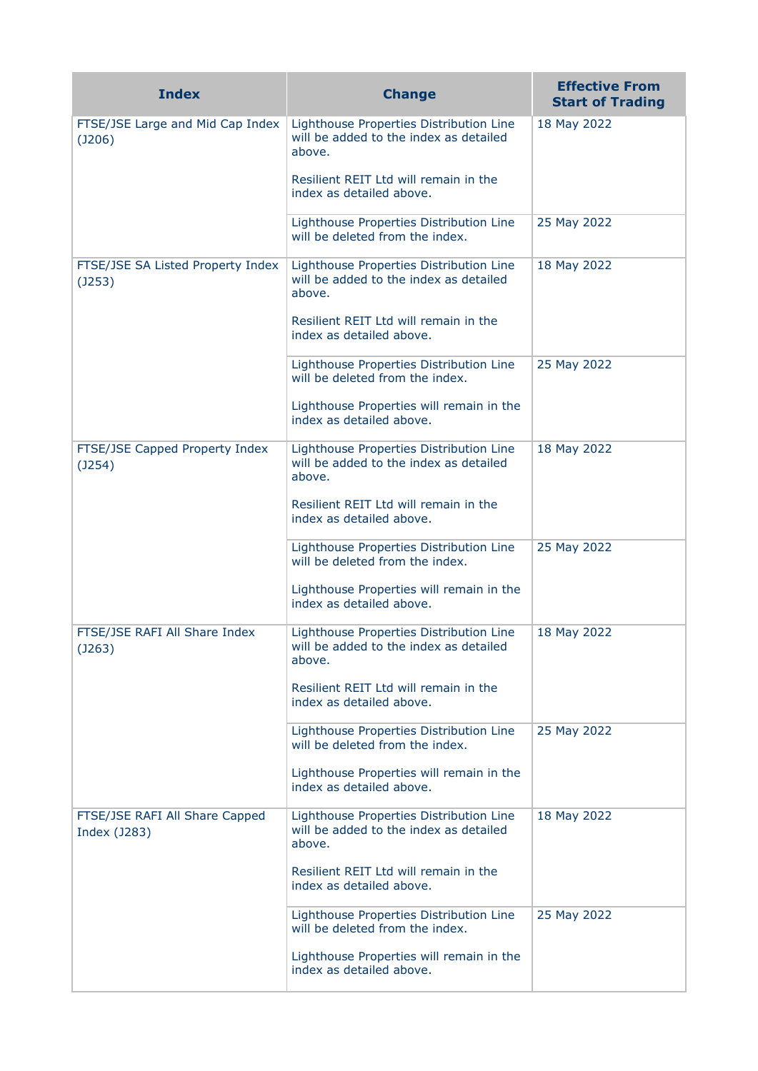| <b>Index</b>                                      | <b>Change</b>                                                                               | <b>Effective From</b><br><b>Start of Trading</b> |
|---------------------------------------------------|---------------------------------------------------------------------------------------------|--------------------------------------------------|
| FTSE/JSE Large and Mid Cap Index<br>(J206)        | Lighthouse Properties Distribution Line<br>will be added to the index as detailed<br>above. | 18 May 2022                                      |
|                                                   | Resilient REIT Ltd will remain in the<br>index as detailed above.                           |                                                  |
|                                                   | Lighthouse Properties Distribution Line<br>will be deleted from the index.                  | 25 May 2022                                      |
| FTSE/JSE SA Listed Property Index<br>$($ J253 $)$ | Lighthouse Properties Distribution Line<br>will be added to the index as detailed<br>above. | 18 May 2022                                      |
|                                                   | Resilient REIT Ltd will remain in the<br>index as detailed above.                           |                                                  |
|                                                   | Lighthouse Properties Distribution Line<br>will be deleted from the index.                  | 25 May 2022                                      |
|                                                   | Lighthouse Properties will remain in the<br>index as detailed above.                        |                                                  |
| FTSE/JSE Capped Property Index<br>(J254)          | Lighthouse Properties Distribution Line<br>will be added to the index as detailed<br>above. | 18 May 2022                                      |
|                                                   | Resilient REIT Ltd will remain in the<br>index as detailed above.                           |                                                  |
|                                                   | Lighthouse Properties Distribution Line<br>will be deleted from the index.                  | 25 May 2022                                      |
|                                                   | Lighthouse Properties will remain in the<br>index as detailed above.                        |                                                  |
| FTSE/JSE RAFI All Share Index<br>(J263)           | Lighthouse Properties Distribution Line<br>will be added to the index as detailed<br>above. | 18 May 2022                                      |
|                                                   | Resilient REIT Ltd will remain in the<br>index as detailed above.                           |                                                  |
|                                                   | Lighthouse Properties Distribution Line<br>will be deleted from the index.                  | 25 May 2022                                      |
|                                                   | Lighthouse Properties will remain in the<br>index as detailed above.                        |                                                  |
| FTSE/JSE RAFI All Share Capped<br>Index (J283)    | Lighthouse Properties Distribution Line<br>will be added to the index as detailed<br>above. | 18 May 2022                                      |
|                                                   | Resilient REIT Ltd will remain in the<br>index as detailed above.                           |                                                  |
|                                                   | Lighthouse Properties Distribution Line<br>will be deleted from the index.                  | 25 May 2022                                      |
|                                                   | Lighthouse Properties will remain in the<br>index as detailed above.                        |                                                  |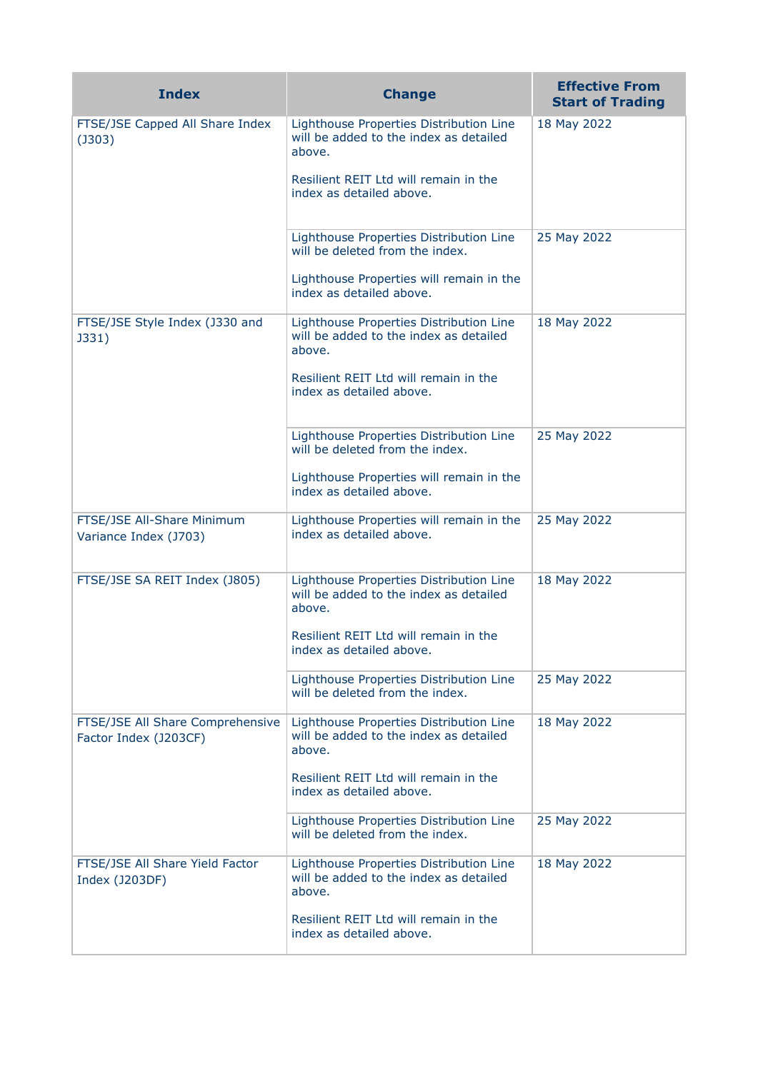| <b>Index</b>                                              | <b>Change</b>                                                                               | <b>Effective From</b><br><b>Start of Trading</b> |
|-----------------------------------------------------------|---------------------------------------------------------------------------------------------|--------------------------------------------------|
| FTSE/JSE Capped All Share Index<br>$($ J303 $)$           | Lighthouse Properties Distribution Line<br>will be added to the index as detailed<br>above. | 18 May 2022                                      |
|                                                           | Resilient REIT Ltd will remain in the<br>index as detailed above.                           |                                                  |
|                                                           | Lighthouse Properties Distribution Line<br>will be deleted from the index.                  | 25 May 2022                                      |
|                                                           | Lighthouse Properties will remain in the<br>index as detailed above.                        |                                                  |
| FTSE/JSE Style Index (J330 and<br>J331)                   | Lighthouse Properties Distribution Line<br>will be added to the index as detailed<br>above. | 18 May 2022                                      |
|                                                           | Resilient REIT Ltd will remain in the<br>index as detailed above.                           |                                                  |
|                                                           | Lighthouse Properties Distribution Line<br>will be deleted from the index.                  | 25 May 2022                                      |
|                                                           | Lighthouse Properties will remain in the<br>index as detailed above.                        |                                                  |
| FTSE/JSE All-Share Minimum<br>Variance Index (J703)       | Lighthouse Properties will remain in the<br>index as detailed above.                        | 25 May 2022                                      |
| FTSE/JSE SA REIT Index (J805)                             | Lighthouse Properties Distribution Line<br>will be added to the index as detailed<br>above. | 18 May 2022                                      |
|                                                           | Resilient REIT Ltd will remain in the<br>index as detailed above.                           |                                                  |
|                                                           | Lighthouse Properties Distribution Line<br>will be deleted from the index.                  | 25 May 2022                                      |
| FTSE/JSE All Share Comprehensive<br>Factor Index (J203CF) | Lighthouse Properties Distribution Line<br>will be added to the index as detailed<br>above. | 18 May 2022                                      |
|                                                           | Resilient REIT Ltd will remain in the<br>index as detailed above.                           |                                                  |
|                                                           | Lighthouse Properties Distribution Line<br>will be deleted from the index.                  | 25 May 2022                                      |
| FTSE/JSE All Share Yield Factor<br>Index (J203DF)         | Lighthouse Properties Distribution Line<br>will be added to the index as detailed<br>above. | 18 May 2022                                      |
|                                                           | Resilient REIT Ltd will remain in the<br>index as detailed above.                           |                                                  |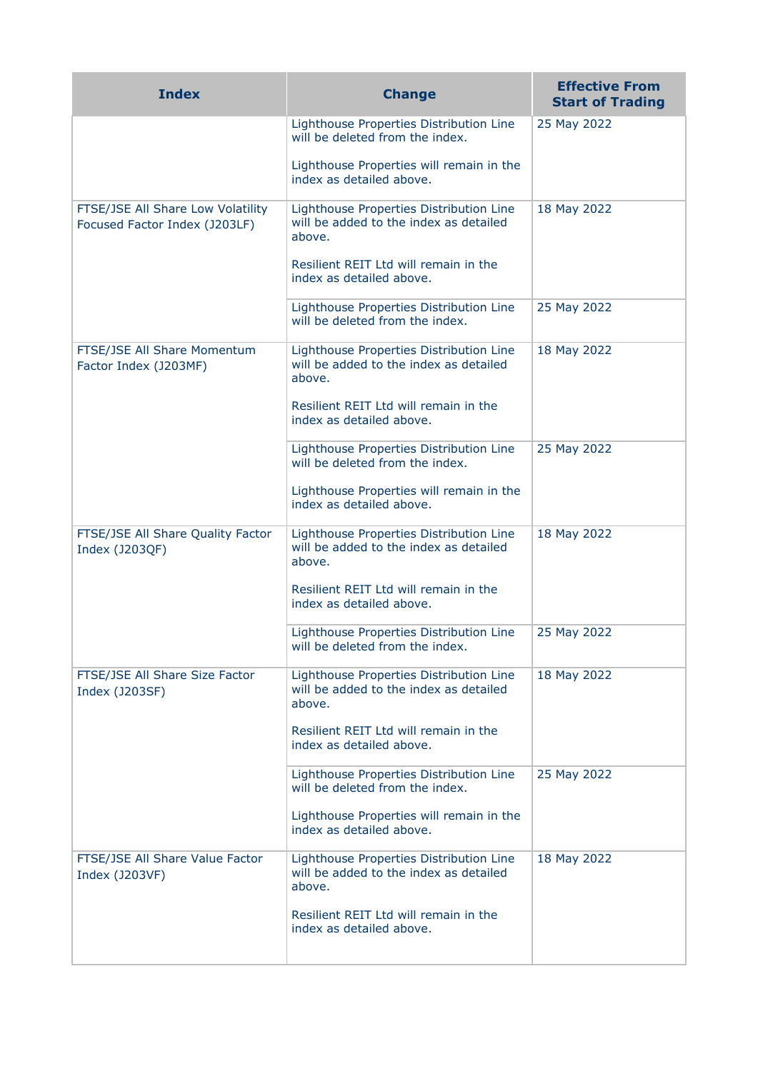| <b>Index</b>                                                       | <b>Change</b>                                                                               | <b>Effective From</b><br><b>Start of Trading</b> |
|--------------------------------------------------------------------|---------------------------------------------------------------------------------------------|--------------------------------------------------|
|                                                                    | Lighthouse Properties Distribution Line<br>will be deleted from the index.                  | 25 May 2022                                      |
|                                                                    | Lighthouse Properties will remain in the<br>index as detailed above.                        |                                                  |
| FTSE/JSE All Share Low Volatility<br>Focused Factor Index (J203LF) | Lighthouse Properties Distribution Line<br>will be added to the index as detailed<br>above. | 18 May 2022                                      |
|                                                                    | Resilient REIT Ltd will remain in the<br>index as detailed above.                           |                                                  |
|                                                                    | Lighthouse Properties Distribution Line<br>will be deleted from the index.                  | 25 May 2022                                      |
| FTSE/JSE All Share Momentum<br>Factor Index (J203MF)               | Lighthouse Properties Distribution Line<br>will be added to the index as detailed<br>above. | 18 May 2022                                      |
|                                                                    | Resilient REIT Ltd will remain in the<br>index as detailed above.                           |                                                  |
|                                                                    | Lighthouse Properties Distribution Line<br>will be deleted from the index.                  | 25 May 2022                                      |
|                                                                    | Lighthouse Properties will remain in the<br>index as detailed above.                        |                                                  |
| FTSE/JSE All Share Quality Factor<br>Index (J203QF)                | Lighthouse Properties Distribution Line<br>will be added to the index as detailed<br>above. | 18 May 2022                                      |
|                                                                    | Resilient REIT Ltd will remain in the<br>index as detailed above.                           |                                                  |
|                                                                    | Lighthouse Properties Distribution Line<br>will be deleted from the index.                  | 25 May 2022                                      |
| FTSE/JSE All Share Size Factor<br>Index (J203SF)                   | Lighthouse Properties Distribution Line<br>will be added to the index as detailed<br>above. | 18 May 2022                                      |
|                                                                    | Resilient REIT Ltd will remain in the<br>index as detailed above.                           |                                                  |
|                                                                    | Lighthouse Properties Distribution Line<br>will be deleted from the index.                  | 25 May 2022                                      |
|                                                                    | Lighthouse Properties will remain in the<br>index as detailed above.                        |                                                  |
| FTSE/JSE All Share Value Factor<br>Index (J203VF)                  | Lighthouse Properties Distribution Line<br>will be added to the index as detailed<br>above. | 18 May 2022                                      |
|                                                                    | Resilient REIT Ltd will remain in the<br>index as detailed above.                           |                                                  |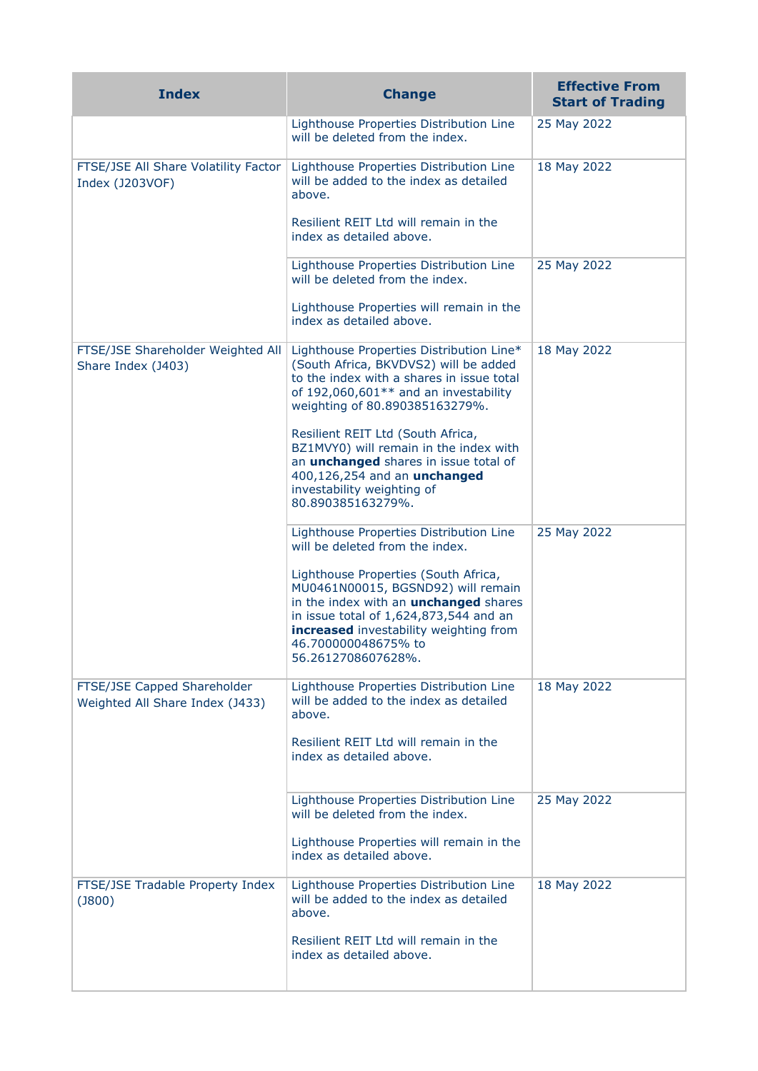| <b>Index</b>                                                   | <b>Change</b>                                                                                                                                                                                                                                               | <b>Effective From</b><br><b>Start of Trading</b> |
|----------------------------------------------------------------|-------------------------------------------------------------------------------------------------------------------------------------------------------------------------------------------------------------------------------------------------------------|--------------------------------------------------|
|                                                                | Lighthouse Properties Distribution Line<br>will be deleted from the index.                                                                                                                                                                                  | 25 May 2022                                      |
| FTSE/JSE All Share Volatility Factor<br>Index (J203VOF)        | Lighthouse Properties Distribution Line<br>will be added to the index as detailed<br>above.                                                                                                                                                                 | 18 May 2022                                      |
|                                                                | Resilient REIT Ltd will remain in the<br>index as detailed above.                                                                                                                                                                                           |                                                  |
|                                                                | Lighthouse Properties Distribution Line<br>will be deleted from the index.                                                                                                                                                                                  | 25 May 2022                                      |
|                                                                | Lighthouse Properties will remain in the<br>index as detailed above.                                                                                                                                                                                        |                                                  |
| FTSE/JSE Shareholder Weighted All<br>Share Index (J403)        | Lighthouse Properties Distribution Line*<br>(South Africa, BKVDVS2) will be added<br>to the index with a shares in issue total<br>of 192,060,601** and an investability<br>weighting of 80.890385163279%.                                                   | 18 May 2022                                      |
|                                                                | Resilient REIT Ltd (South Africa,<br>BZ1MVY0) will remain in the index with<br>an <i>unchanged</i> shares in issue total of<br>400,126,254 and an unchanged<br>investability weighting of<br>80.890385163279%.                                              |                                                  |
|                                                                | Lighthouse Properties Distribution Line<br>will be deleted from the index.                                                                                                                                                                                  | 25 May 2022                                      |
|                                                                | Lighthouse Properties (South Africa,<br>MU0461N00015, BGSND92) will remain<br>in the index with an <b>unchanged</b> shares<br>in issue total of 1,624,873,544 and an<br>increased investability weighting from<br>46.700000048675% to<br>56.2612708607628%. |                                                  |
| FTSE/JSE Capped Shareholder<br>Weighted All Share Index (J433) | Lighthouse Properties Distribution Line<br>will be added to the index as detailed<br>above.                                                                                                                                                                 | 18 May 2022                                      |
|                                                                | Resilient REIT Ltd will remain in the<br>index as detailed above.                                                                                                                                                                                           |                                                  |
|                                                                | Lighthouse Properties Distribution Line<br>will be deleted from the index.                                                                                                                                                                                  | 25 May 2022                                      |
|                                                                | Lighthouse Properties will remain in the<br>index as detailed above.                                                                                                                                                                                        |                                                  |
| FTSE/JSE Tradable Property Index<br>$($ 3800 $)$               | Lighthouse Properties Distribution Line<br>will be added to the index as detailed<br>above.                                                                                                                                                                 | 18 May 2022                                      |
|                                                                | Resilient REIT Ltd will remain in the<br>index as detailed above.                                                                                                                                                                                           |                                                  |